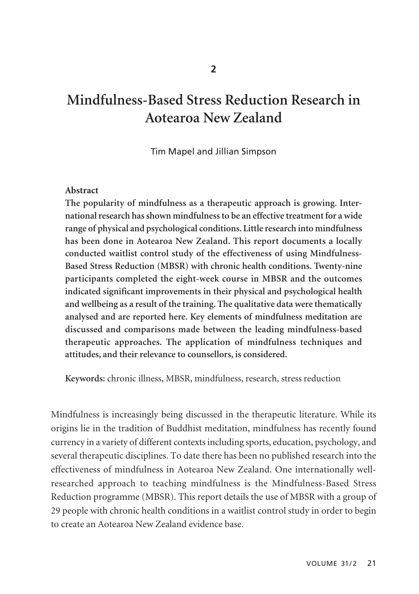# **Mindfulness-Based Stress Reduction Research in Aotearoa New Zealand**

Tim Mapel and Jillian Simpson

#### **Abstract**

**The popularity of mindfulness as a therapeutic approach is growing. Inter national research has shown mindfulness to be an effective treatment for a wide range of physical and psychological conditions. Little research into mindfulness has been done in Aotearoa New Zealand. This report documents a locally conducted waitlist control study of the effectiveness of using Mindfulness-Based Stress Reduction (MBSR) with chronic health conditions. Twenty-nine participants completed the eight-week course in MBSR and the outcomes indicated significant improvements in their physical and psychological health and wellbeing as a result of the training. The qualitative data were thematically analysed and are reported here. Key elements of mindfulness meditation are discussed and comparisons made between the leading mindfulness-based therapeutic approaches. The application of mindfulness techniques and attitudes, and their relevance to counsellors, is considered.**

**Keywords:** chronic illness, MBSR, mindfulness, research, stress reduction

Mindfulness is increasingly being discussed in the therapeutic literature. While its origins lie in the tradition of Buddhist meditation, mindfulness has recently found currency in a variety of different contexts including sports, education, psychology, and several therapeutic disciplines. To date there has been no published research into the effectiveness of mindfulness in Aotearoa New Zealand. One internationally wellresearched approach to teaching mindfulness is the Mindfulness-Based Stress Reduction programme (MBSR). This report details the use of MBSR with a group of 29 people with chronic health conditions in a waitlist control study in order to begin to create an Aotearoa New Zealand evidence base.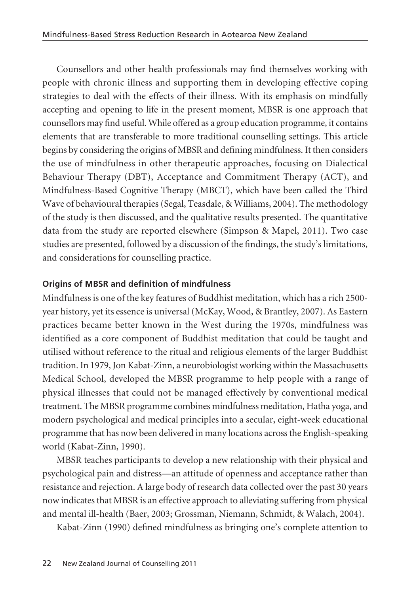Counsellors and other health professionals may find themselves working with people with chronic illness and supporting them in developing effective coping strategies to deal with the effects of their illness. With its emphasis on mindfully accepting and opening to life in the present moment, MBSR is one approach that counsellors may find useful. While offered as a group education programme, it contains elements that are transferable to more traditional counselling settings. This article begins by considering the origins of MBSR and defining mindfulness. It then considers the use of mindfulness in other therapeutic approaches, focusing on Dialectical Behaviour Therapy (DBT), Acceptance and Commitment Therapy (ACT), and Mindfulness-Based Cognitive Therapy (MBCT), which have been called the Third Wave of behavioural therapies (Segal, Teasdale, & Williams, 2004). The methodology of the study is then discussed, and the qualitative results presented. The quantitative data from the study are reported elsewhere (Simpson & Mapel, 2011). Two case studies are presented, followed by a discussion of the findings, the study's limitations, and considerations for counselling practice.

# **Origins of MBSR and definition of mindfulness**

Mindfulness is one of the key features of Buddhist meditation, which has a rich 2500 year history, yet its essence is universal (McKay, Wood, & Brantley, 2007). As Eastern practices became better known in the West during the 1970s, mindfulness was identified as a core component of Buddhist meditation that could be taught and utilised without reference to the ritual and religious elements of the larger Buddhist tradition. In 1979, Jon Kabat-Zinn, a neurobiologist working within the Massachusetts Medical School, developed the MBSR programme to help people with a range of physical illnesses that could not be managed effectively by conventional medical treatment. The MBSR programme combines mindfulness meditation, Hatha yoga, and modern psychological and medical principles into a secular, eight-week educational programme that has now been delivered in many locations across the English-speaking world (Kabat-Zinn, 1990).

MBSR teaches participants to develop a new relationship with their physical and psychological pain and distress—an attitude of openness and acceptance rather than resistance and rejection. A large body of research data collected over the past 30 years now indicates that MBSR is an effective approach to alleviating suffering from physical and mental ill-health (Baer, 2003; Grossman, Niemann, Schmidt, & Walach, 2004).

Kabat-Zinn (1990) defined mindfulness as bringing one's complete attention to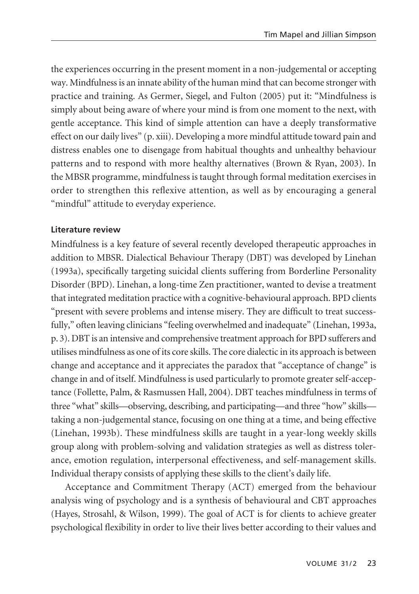the experiences occurring in the present moment in a non-judgemental or accepting way. Mindfulness is an innate ability of the human mind that can become stronger with practice and training. As Germer, Siegel, and Fulton (2005) put it: "Mindfulness is simply about being aware of where your mind is from one moment to the next, with gentle acceptance. This kind of simple attention can have a deeply transformative effect on our daily lives" (p. xiii). Developing a more mindful attitude toward pain and distress enables one to disengage from habitual thoughts and unhealthy behaviour patterns and to respond with more healthy alternatives (Brown & Ryan, 2003). In the MBSR programme, mindfulness is taught through formal meditation exercises in order to strengthen this reflexive attention, as well as by encouraging a general "mindful" attitude to everyday experience.

## **Literature review**

Mindfulness is a key feature of several recently developed therapeutic approaches in addition to MBSR. Dialectical Behaviour Therapy (DBT) was developed by Linehan (1993a), specifically targeting suicidal clients suffering from Borderline Personality Disorder (BPD). Linehan, a long-time Zen practitioner, wanted to devise a treatment that integrated meditation practice with a cognitive-behavioural approach. BPD clients "present with severe problems and intense misery. They are difficult to treat successfully," often leaving clinicians "feeling overwhelmed and inadequate" (Linehan, 1993a, p. 3). DBT is an intensive and comprehensive treatment approach for BPD sufferers and utilises mindfulness as one of its core skills. The core dialectic in its approach is between change and acceptance and it appreciates the paradox that "acceptance of change" is change in and of itself. Mindfulness is used particularly to promote greater self-acceptance (Follette, Palm, & Rasmussen Hall, 2004). DBT teaches mindfulness in terms of three "what" skills—observing, describing, and participating—and three "how" skills taking a non-judgemental stance, focusing on one thing at a time, and being effective (Linehan, 1993b). These mindfulness skills are taught in a year-long weekly skills group along with problem-solving and validation strategies as well as distress tolerance, emotion regulation, interpersonal effectiveness, and self-management skills. Individual therapy consists of applying these skills to the client's daily life.

Acceptance and Commitment Therapy (ACT) emerged from the behaviour analysis wing of psychology and is a synthesis of behavioural and CBT approaches (Hayes, Strosahl, & Wilson, 1999). The goal of ACT is for clients to achieve greater psychological flexibility in order to live their lives better according to their values and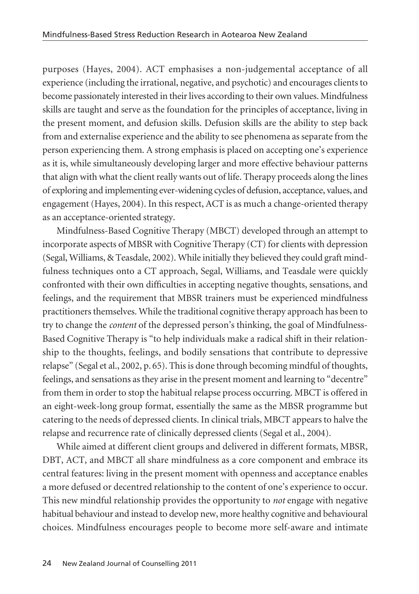purposes (Hayes, 2004). ACT emphasises a non-judgemental acceptance of all experience (including the irrational, negative, and psychotic) and encourages clients to become passionately interested in their lives according to their own values. Mindfulness skills are taught and serve as the foundation for the principles of acceptance, living in the present moment, and defusion skills. Defusion skills are the ability to step back from and externalise experience and the ability to see phenomena as separate from the person experiencing them. A strong emphasis is placed on accepting one's experience as it is, while simultaneously developing larger and more effective behaviour patterns that align with what the client really wants out of life. Therapy proceeds along the lines of exploring and implementing ever-widening cycles of defusion, acceptance, values, and engagement (Hayes, 2004). In this respect, ACT is as much a change-oriented therapy as an acceptance-oriented strategy.

Mindfulness-Based Cognitive Therapy (MBCT) developed through an attempt to incorporate aspects of MBSR with Cognitive Therapy (CT) for clients with depression (Segal, Williams, & Teasdale, 2002). While initially they believed they could graft mindfulness techniques onto a CT approach, Segal, Williams, and Teasdale were quickly confronted with their own difficulties in accepting negative thoughts, sensations, and feelings, and the requirement that MBSR trainers must be experienced mindfulness practitioners themselves. While the traditional cognitive therapy approach has been to try to change the *content* of the depressed person's thinking, the goal of Mindfulness-Based Cognitive Therapy is "to help individuals make a radical shift in their relationship to the thoughts, feelings, and bodily sensations that contribute to depressive relapse" (Segal et al., 2002, p. 65). This is done through becoming mindful of thoughts, feelings, and sensations as they arise in the present moment and learning to "decentre" from them in order to stop the habitual relapse process occurring. MBCT is offered in an eight-week-long group format, essentially the same as the MBSR programme but catering to the needs of depressed clients. In clinical trials, MBCT appears to halve the relapse and recurrence rate of clinically depressed clients (Segal et al., 2004).

While aimed at different client groups and delivered in different formats, MBSR, DBT, ACT, and MBCT all share mindfulness as a core component and embrace its central features: living in the present moment with openness and acceptance enables a more defused or decentred relationship to the content of one's experience to occur. This new mindful relationship provides the opportunity to *not* engage with negative habitual behaviour and instead to develop new, more healthy cognitive and behavioural choices. Mindfulness encourages people to become more self-aware and intimate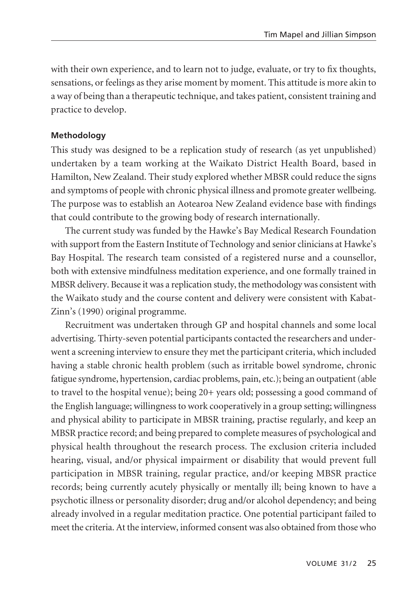with their own experience, and to learn not to judge, evaluate, or try to fix thoughts, sensations, or feelings as they arise moment by moment. This attitude is more akin to a way of being than a therapeutic technique, and takes patient, consistent training and practice to develop.

## **Methodology**

This study was designed to be a replication study of research (as yet unpublished) undertaken by a team working at the Waikato District Health Board, based in Hamilton, New Zealand. Their study explored whether MBSR could reduce the signs and symptoms of people with chronic physical illness and promote greater wellbeing. The purpose was to establish an Aotearoa New Zealand evidence base with findings that could contribute to the growing body of research internationally.

The current study was funded by the Hawke's Bay Medical Research Foundation with support from the Eastern Institute of Technology and senior clinicians at Hawke's Bay Hospital. The research team consisted of a registered nurse and a counsellor, both with extensive mindfulness meditation experience, and one formally trained in MBSR delivery. Because it was a replication study, the methodology was consistent with the Waikato study and the course content and delivery were consistent with Kabat-Zinn's (1990) original programme.

Recruitment was undertaken through GP and hospital channels and some local advertising. Thirty-seven potential participants contacted the researchers and under went a screening interview to ensure they met the participant criteria, which included having a stable chronic health problem (such as irritable bowel syndrome, chronic fatigue syndrome, hypertension, cardiac problems, pain, etc.); being an outpatient (able to travel to the hospital venue); being 20+ years old; possessing a good command of the English language; willingness to work cooperatively in a group setting; willingness and physical ability to participate in MBSR training, practise regularly, and keep an MBSR practice record; and being prepared to complete measures of psychological and physical health throughout the research process. The exclusion criteria included hearing, visual, and/or physical impairment or disability that would prevent full participation in MBSR training, regular practice, and/or keeping MBSR practice records; being currently acutely physically or mentally ill; being known to have a psychotic illness or personality disorder; drug and/or alcohol dependency; and being already involved in a regular meditation practice. One potential participant failed to meet the criteria. At the interview, informed consent was also obtained from those who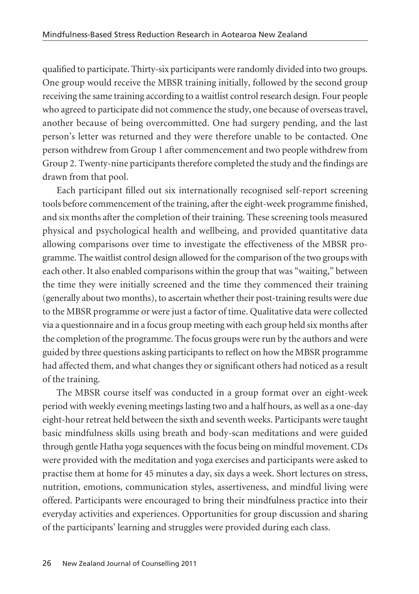qualified to participate. Thirty-six participants were randomly divided into two groups. One group would receive the MBSR training initially, followed by the second group receiving the same training according to a waitlist control research design. Four people who agreed to participate did not commence the study, one because of overseas travel, another because of being overcommitted. One had surgery pending, and the last person's letter was returned and they were therefore unable to be contacted. One person withdrew from Group 1 after commencement and two people withdrew from Group 2. Twenty-nine participants therefore completed the study and the findings are drawn from that pool.

Each participant filled out six internationally recognised self-report screening tools before commencement of the training, after the eight-week programme finished, and six months after the completion of their training. These screening tools measured physical and psychological health and wellbeing, and provided quantitative data allowing comparisons over time to investigate the effectiveness of the MBSR programme. The waitlist control design allowed for the comparison of the two groups with each other. It also enabled comparisons within the group that was "waiting," between the time they were initially screened and the time they commenced their training (generally about two months), to ascertain whether their post-training results were due to the MBSR programme or were just a factor of time. Qualitative data were collected via a questionnaire and in a focus group meeting with each group held six months after the completion of the programme. The focus groups were run by the authors and were guided by three questions asking participants to reflect on how the MBSR programme had affected them, and what changes they or significant others had noticed as a result of the training.

The MBSR course itself was conducted in a group format over an eight-week period with weekly evening meetings lasting two and a half hours, as well as a one-day eight-hour retreat held between the sixth and seventh weeks. Participants were taught basic mindfulness skills using breath and body-scan meditations and were guided through gentle Hatha yoga sequences with the focus being on mindful movement. CDs were provided with the meditation and yoga exercises and participants were asked to practise them at home for 45 minutes a day, six days a week. Short lectures on stress, nutrition, emotions, communication styles, assertiveness, and mindful living were offered. Participants were encouraged to bring their mindfulness practice into their everyday activities and experiences. Opportunities for group discussion and sharing of the participants' learning and struggles were provided during each class.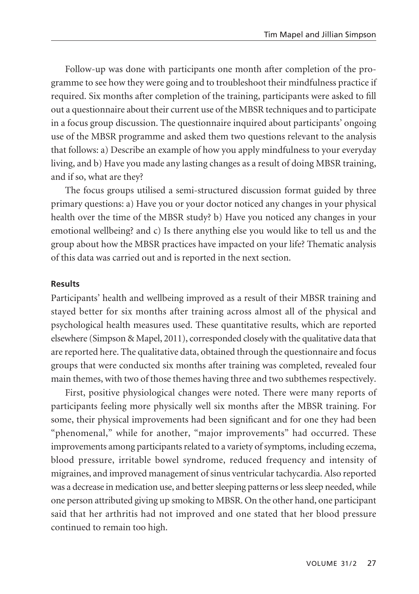Follow-up was done with participants one month after completion of the programme to see how they were going and to troubleshoot their mindfulness practice if required. Six months after completion of the training, participants were asked to fill out a questionnaire about their current use of the MBSR techniques and to participate in a focus group discussion. The questionnaire inquired about participants' ongoing use of the MBSR programme and asked them two questions relevant to the analysis that follows: a) Describe an example of how you apply mindfulness to your everyday living, and b) Have you made any lasting changes as a result of doing MBSR training, and if so, what are they?

The focus groups utilised a semi-structured discussion format guided by three primary questions: a) Have you or your doctor noticed any changes in your physical health over the time of the MBSR study? b) Have you noticed any changes in your emotional wellbeing? and c) Is there anything else you would like to tell us and the group about how the MBSR practices have impacted on your life? Thematic analysis of this data was carried out and is reported in the next section.

#### **Results**

Participants' health and wellbeing improved as a result of their MBSR training and stayed better for six months after training across almost all of the physical and psychological health measures used. These quantitative results, which are reported elsewhere (Simpson & Mapel, 2011), corresponded closely with the qualitative data that are reported here. The qualitative data, obtained through the questionnaire and focus groups that were conducted six months after training was completed, revealed four main themes, with two of those themes having three and two subthemes respectively.

First, positive physiological changes were noted. There were many reports of participants feeling more physically well six months after the MBSR training. For some, their physical improvements had been significant and for one they had been "phenomenal," while for another, "major improvements" had occurred. These improvements among participants related to a variety of symptoms, including eczema, blood pressure, irritable bowel syndrome, reduced frequency and intensity of migraines, and improved management of sinus ventricular tachycardia. Also reported was a decrease in medication use, and better sleeping patterns or less sleep needed, while one person attributed giving up smoking to MBSR. On the other hand, one participant said that her arthritis had not improved and one stated that her blood pressure continued to remain too high.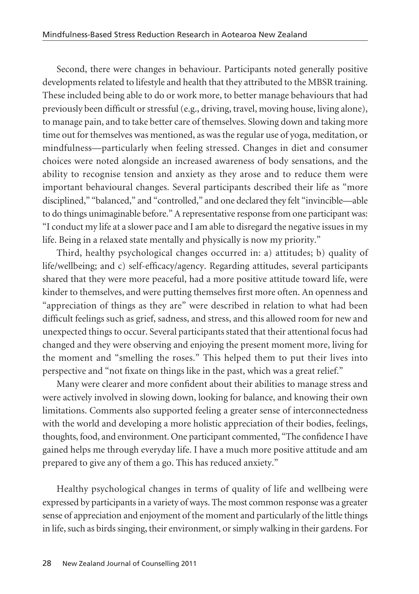Second, there were changes in behaviour. Participants noted generally positive developments related to lifestyle and health that they attributed to the MBSR training. These included being able to do or work more, to better manage behaviours that had previously been difficult or stressful (e.g., driving, travel, moving house, living alone), to manage pain, and to take better care of themselves. Slowing down and taking more time out for themselves was mentioned, as was the regular use of yoga, meditation, or mindfulness—particularly when feeling stressed. Changes in diet and consumer choices were noted alongside an increased awareness of body sensations, and the ability to recognise tension and anxiety as they arose and to reduce them were important behavioural changes. Several participants described their life as "more disciplined," "balanced," and "controlled," and one declared they felt "invincible—able to do things unimaginable before." A representative response from one participant was: "I conduct my life at a slower pace and I am able to disregard the negative issues in my life. Being in a relaxed state mentally and physically is now my priority."

Third, healthy psychological changes occurred in: a) attitudes; b) quality of life/wellbeing; and c) self-efficacy/agency. Regarding attitudes, several participants shared that they were more peaceful, had a more positive attitude toward life, were kinder to themselves, and were putting themselves first more often. An openness and "appreciation of things as they are" were described in relation to what had been difficult feelings such as grief, sadness, and stress, and this allowed room for new and unexpected things to occur. Several participants stated that their attentional focus had changed and they were observing and enjoying the present moment more, living for the moment and "smelling the roses." This helped them to put their lives into perspective and "not fixate on things like in the past, which was a great relief."

Many were clearer and more confident about their abilities to manage stress and were actively involved in slowing down, looking for balance, and knowing their own limitations. Comments also supported feeling a greater sense of interconnectedness with the world and developing a more holistic appreciation of their bodies, feelings, thoughts, food, and environment. One participant commented, "The confidence I have gained helps me through everyday life. I have a much more positive attitude and am prepared to give any of them a go. This has reduced anxiety."

Healthy psychological changes in terms of quality of life and wellbeing were expressed by participants in a variety of ways. The most common response was a greater sense of appreciation and enjoyment of the moment and particularly of the little things in life, such as birds singing, their environment, or simply walking in their gardens. For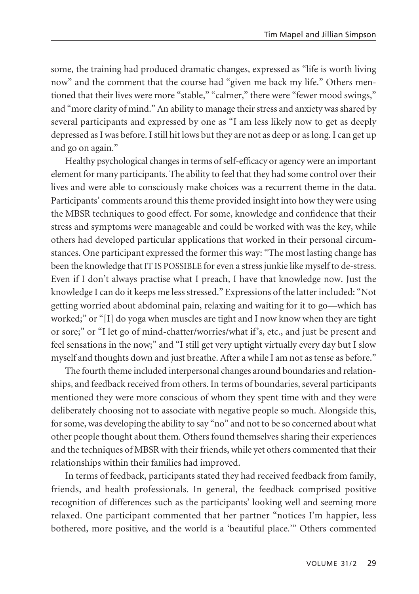some, the training had produced dramatic changes, expressed as "life is worth living now" and the comment that the course had "given me back my life." Others mentioned that their lives were more "stable," "calmer," there were "fewer mood swings," and "more clarity of mind." An ability to manage their stress and anxiety was shared by several participants and expressed by one as "I am less likely now to get as deeply depressed as I was before. I still hit lows but they are not as deep or as long. I can get up and go on again."

Healthy psychological changes in terms of self-efficacy or agency were an important element for many participants. The ability to feel that they had some control over their lives and were able to consciously make choices was a recurrent theme in the data. Participants' comments around this theme provided insight into how they were using the MBSR techniques to good effect. For some, knowledge and confidence that their stress and symptoms were manageable and could be worked with was the key, while others had developed particular applications that worked in their personal circum stances. One participant expressed the former this way: "The most lasting change has been the knowledge that IT IS POSSIBLE for even a stress junkie like myself to de-stress. Even if I don't always practise what I preach, I have that knowledge now. Just the knowledge I can do it keeps me less stressed." Expressions of the latter included: "Not getting worried about abdominal pain, relaxing and waiting for it to go—which has worked;" or "[I] do yoga when muscles are tight and I now know when they are tight or sore;" or "I let go of mind-chatter/worries/what if's, etc., and just be present and feel sensations in the now;" and "I still get very uptight virtually every day but I slow myself and thoughts down and just breathe. After a while I am not as tense as before."

The fourth theme included interpersonal changes around boundaries and relation ships, and feedback received from others. In terms of boundaries, several participants mentioned they were more conscious of whom they spent time with and they were deliberately choosing not to associate with negative people so much. Alongside this, for some, was developing the ability to say "no" and not to be so concerned about what other people thought about them. Others found themselves sharing their experiences and the techniques of MBSR with their friends, while yet others commented that their relationships within their families had improved.

In terms of feedback, participants stated they had received feedback from family, friends, and health professionals. In general, the feedback comprised positive recognition of differences such as the participants' looking well and seeming more relaxed. One participant commented that her partner "notices I'm happier, less bothered, more positive, and the world is a 'beautiful place.'" Others commented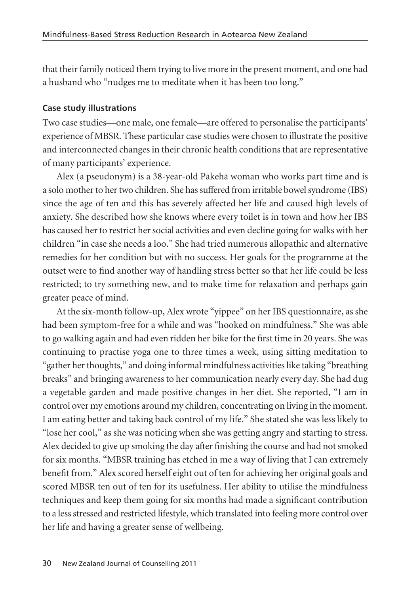that their family noticed them trying to live more in the present moment, and one had a husband who "nudges me to meditate when it has been too long."

### **Case study illustrations**

Two case studies—one male, one female—are offered to personalise the participants' experience of MBSR. These particular case studies were chosen to illustrate the positive and interconnected changes in their chronic health conditions that are representative of many participants' experience.

Alex (a pseudonym) is a 38-year-old Päkehä woman who works part time and is a solo mother to her two children. She has suffered from irritable bowel syndrome (IBS) since the age of ten and this has severely affected her life and caused high levels of anxiety. She described how she knows where every toilet is in town and how her IBS has caused her to restrict her social activities and even decline going for walks with her children "in case she needs a loo." She had tried numerous allopathic and alternative remedies for her condition but with no success. Her goals for the programme at the outset were to find another way of handling stress better so that her life could be less restricted; to try something new, and to make time for relaxation and perhaps gain greater peace of mind.

At the six-month follow-up, Alex wrote "yippee" on her IBS questionnaire, as she had been symptom-free for a while and was "hooked on mindfulness." She was able to go walking again and had even ridden her bike for the first time in 20 years. She was continuing to practise yoga one to three times a week, using sitting meditation to "gather her thoughts," and doing informal mindfulness activities like taking "breathing breaks" and bringing awareness to her communication nearly every day. She had dug a vegetable garden and made positive changes in her diet. She reported, "I am in control over my emotions around my children, concentrating on living in the moment. I am eating better and taking back control of my life." She stated she was less likely to "lose her cool," as she was noticing when she was getting angry and starting to stress. Alex decided to give up smoking the day after finishing the course and had not smoked for six months. "MBSR training has etched in me a way of living that I can extremely benefit from." Alex scored herself eight out of ten for achieving her original goals and scored MBSR ten out of ten for its usefulness. Her ability to utilise the mindfulness techniques and keep them going for six months had made a significant contribution to a less stressed and restricted lifestyle, which translated into feeling more control over her life and having a greater sense of wellbeing.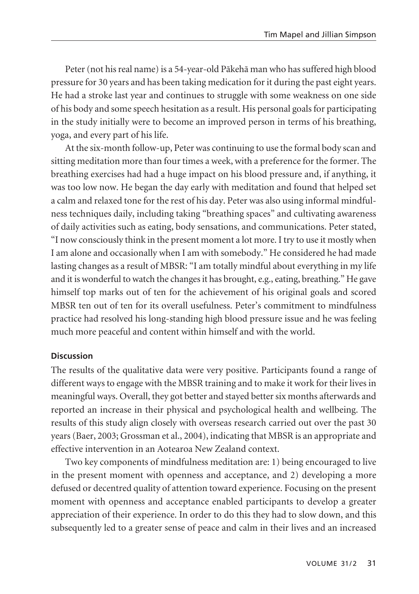Peter (not his real name) is a 54-year-old Päkehä man who has suffered high blood pressure for 30 years and has been taking medication for it during the past eight years. He had a stroke last year and continues to struggle with some weakness on one side of his body and some speech hesitation as a result. His personal goals for participating in the study initially were to become an improved person in terms of his breathing, yoga, and every part of his life.

At the six-month follow-up, Peter was continuing to use the formal body scan and sitting meditation more than four times a week, with a preference for the former. The breathing exercises had had a huge impact on his blood pressure and, if anything, it was too low now. He began the day early with meditation and found that helped set a calm and relaxed tone for the rest of his day. Peter was also using informal mindful ness techniques daily, including taking "breathing spaces" and cultivating awareness of daily activities such as eating, body sensations, and communications. Peter stated, "I now consciously think in the present moment a lot more. I try to use it mostly when I am alone and occasionally when I am with somebody." He considered he had made lasting changes as a result of MBSR: "I am totally mindful about everything in my life and it is wonderful to watch the changes it has brought, e.g., eating, breathing." He gave himself top marks out of ten for the achievement of his original goals and scored MBSR ten out of ten for its overall usefulness. Peter's commitment to mindfulness practice had resolved his long-standing high blood pressure issue and he was feeling much more peaceful and content within himself and with the world.

## **Discussion**

The results of the qualitative data were very positive. Participants found a range of different ways to engage with the MBSR training and to make it work for their lives in meaningful ways. Overall, they got better and stayed better six months afterwards and reported an increase in their physical and psychological health and wellbeing. The results of this study align closely with overseas research carried out over the past 30 years (Baer, 2003; Grossman et al., 2004), indicating that MBSR is an appropriate and effective intervention in an Aotearoa New Zealand context.

Two key components of mindfulness meditation are: 1) being encouraged to live in the present moment with openness and acceptance, and 2) developing a more defused or decentred quality of attention toward experience. Focusing on the present moment with openness and acceptance enabled participants to develop a greater appreciation of their experience. In order to do this they had to slow down, and this subsequently led to a greater sense of peace and calm in their lives and an increased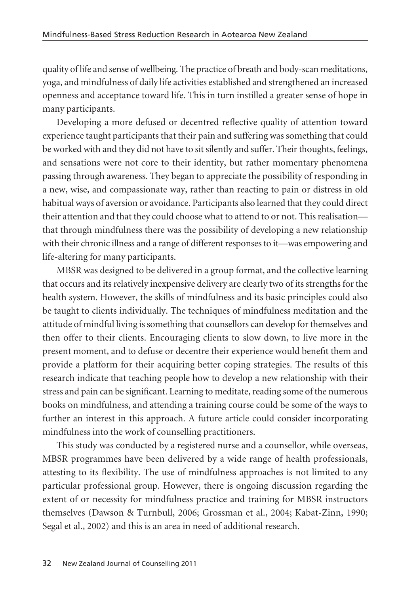quality of life and sense of wellbeing. The practice of breath and body-scan meditations, yoga, and mindfulness of daily life activities established and strengthened an increased openness and acceptance toward life. This in turn instilled a greater sense of hope in many participants.

Developing a more defused or decentred reflective quality of attention toward experience taught participants that their pain and suffering was something that could be worked with and they did not have to sit silently and suffer. Their thoughts, feelings, and sensations were not core to their identity, but rather momentary phenomena passing through awareness. They began to appreciate the possibility of responding in a new, wise, and compassionate way, rather than reacting to pain or distress in old habitual ways of aversion or avoidance. Participants also learned that they could direct their attention and that they could choose what to attend to or not. This realisation that through mindfulness there was the possibility of developing a new relationship with their chronic illness and a range of different responses to it—was empowering and life-altering for many participants.

MBSR was designed to be delivered in a group format, and the collective learning that occurs and its relatively inexpensive delivery are clearly two of its strengths for the health system. However, the skills of mindfulness and its basic principles could also be taught to clients individually. The techniques of mindfulness meditation and the attitude of mindful living is something that counsellors can develop for themselves and then offer to their clients. Encouraging clients to slow down, to live more in the present moment, and to defuse or decentre their experience would benefit them and provide a platform for their acquiring better coping strategies. The results of this research indicate that teaching people how to develop a new relationship with their stress and pain can be significant. Learning to meditate, reading some of the numerous books on mindfulness, and attending a training course could be some of the ways to further an interest in this approach. A future article could consider incorporating mindfulness into the work of counselling practitioners.

This study was conducted by a registered nurse and a counsellor, while overseas, MBSR programmes have been delivered by a wide range of health professionals, attesting to its flexibility. The use of mindfulness approaches is not limited to any particular professional group. However, there is ongoing discussion regarding the extent of or necessity for mindfulness practice and training for MBSR instructors themselves (Dawson & Turnbull, 2006; Grossman et al., 2004; Kabat-Zinn, 1990; Segal et al., 2002) and this is an area in need of additional research.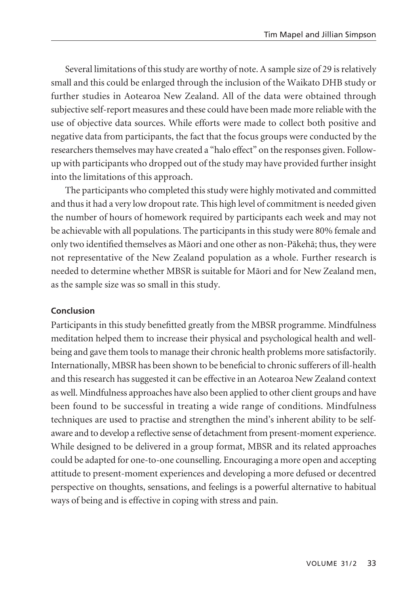Several limitations of this study are worthy of note. A sample size of 29 is relatively small and this could be enlarged through the inclusion of the Waikato DHB study or further studies in Aotearoa New Zealand. All of the data were obtained through subjective self-report measures and these could have been made more reliable with the use of objective data sources. While efforts were made to collect both positive and negative data from participants, the fact that the focus groups were conducted by the researchers themselves may have created a "halo effect" on the responses given. Followup with participants who dropped out of the study may have provided further insight into the limitations of this approach.

The participants who completed this study were highly motivated and committed and thus it had a very low dropout rate. This high level of commitment is needed given the number of hours of homework required by participants each week and may not be achievable with all populations. The participants in this study were 80% female and only two identified themselves as Mäori and one other as non-Päkehä; thus, they were not representative of the New Zealand population as a whole. Further research is needed to determine whether MBSR is suitable for Mäori and for New Zealand men, as the sample size was so small in this study.

## **Conclusion**

Participants in this study benefitted greatly from the MBSR programme. Mindfulness meditation helped them to increase their physical and psychological health and wellbeing and gave them tools to manage their chronic health problems more satisfactorily. Internationally, MBSR has been shown to be beneficial to chronic sufferers of ill-health and this research has suggested it can be effective in an Aotearoa New Zealand context as well. Mindfulness approaches have also been applied to other client groups and have been found to be successful in treating a wide range of conditions. Mindfulness techniques are used to practise and strengthen the mind's inherent ability to be selfaware and to develop a reflective sense of detachment from present-moment experience. While designed to be delivered in a group format, MBSR and its related approaches could be adapted for one-to-one counselling. Encouraging a more open and accepting attitude to present-moment experiences and developing a more defused or decentred perspective on thoughts, sensations, and feelings is a powerful alternative to habitual ways of being and is effective in coping with stress and pain.